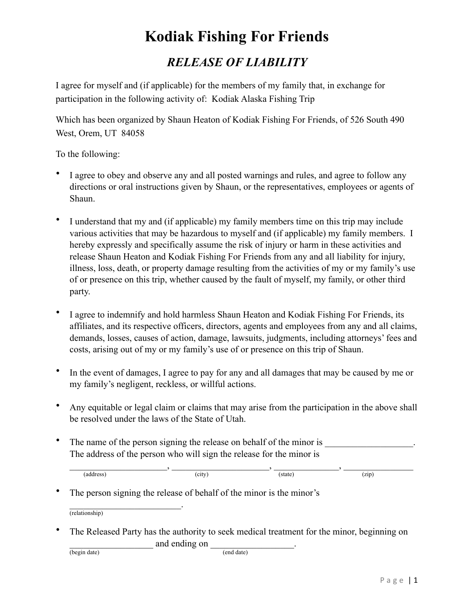## **Kodiak Fishing For Friends**

## *RELEASE OF LIABILITY*

I agree for myself and (if applicable) for the members of my family that, in exchange for participation in the following activity of: Kodiak Alaska Fishing Trip

Which has been organized by Shaun Heaton of Kodiak Fishing For Friends, of 526 South 490 West, Orem, UT 84058

To the following:

- I agree to obey and observe any and all posted warnings and rules, and agree to follow any directions or oral instructions given by Shaun, or the representatives, employees or agents of Shaun.
- I understand that my and (if applicable) my family members time on this trip may include various activities that may be hazardous to myself and (if applicable) my family members. I hereby expressly and specifically assume the risk of injury or harm in these activities and release Shaun Heaton and Kodiak Fishing For Friends from any and all liability for injury, illness, loss, death, or property damage resulting from the activities of my or my family's use of or presence on this trip, whether caused by the fault of myself, my family, or other third party.
- I agree to indemnify and hold harmless Shaun Heaton and Kodiak Fishing For Friends, its affiliates, and its respective officers, directors, agents and employees from any and all claims, demands, losses, causes of action, damage, lawsuits, judgments, including attorneys' fees and costs, arising out of my or my family's use of or presence on this trip of Shaun.
- In the event of damages, I agree to pay for any and all damages that may be caused by me or my family's negligent, reckless, or willful actions.
- Any equitable or legal claim or claims that may arise from the participation in the above shall be resolved under the laws of the State of Utah.
- The name of the person signing the release on behalf of the minor is The address of the person who will sign the release for the minor is

| address) | city),<br>$\overline{\phantom{a}}$ | (state) | (zip) |
|----------|------------------------------------|---------|-------|

The person signing the release of behalf of the minor is the minor's

 $\mathcal{L}_\text{max}$  and  $\mathcal{L}_\text{max}$  and  $\mathcal{L}_\text{max}$ (relationship)

The Released Party has the authority to seek medical treatment for the minor, beginning on and ending on  $\frac{1}{\text{end date}}$ 

 $(begin date)$